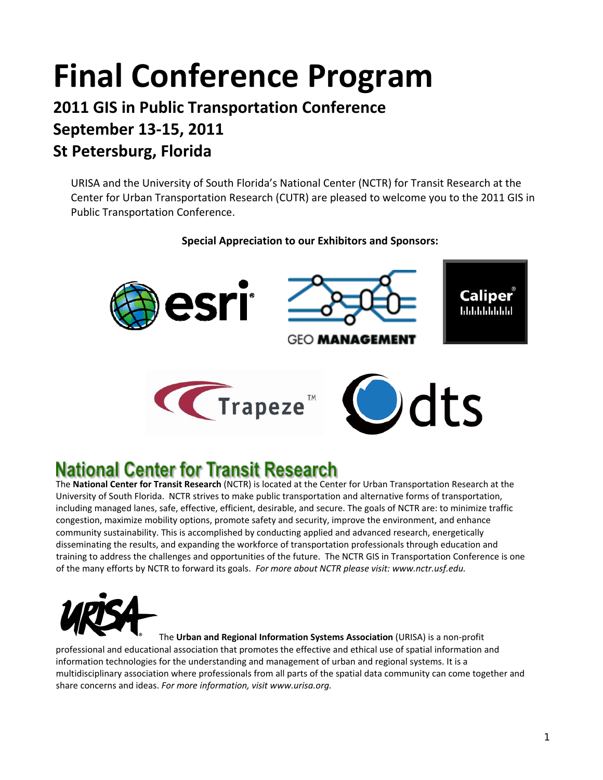# **Final Conference Program**

# **2011 GIS in Public Transportation Conference September 13‐15, 2011 St Petersburg, Florida**

URISA and the University of South Florida's National Center (NCTR) for Transit Research at the Center for Urban Transportation Research (CUTR) are pleased to welcome you to the 2011 GIS in Public Transportation Conference.

### **Special Appreciation to our Exhibitors and Sponsors:**



# **National Center for Transit Research**

The **National Center for Transit Research** (NCTR) is located at the Center for Urban Transportation Research at the University of South Florida. NCTR strives to make public transportation and alternative forms of transportation, including managed lanes, safe, effective, efficient, desirable, and secure. The goals of NCTR are: to minimize traffic congestion, maximize mobility options, promote safety and security, improve the environment, and enhance community sustainability. This is accomplished by conducting applied and advanced research, energetically disseminating the results, and expanding the workforce of transportation professionals through education and training to address the challenges and opportunities of the future. The NCTR GIS in Transportation Conference is one of the many efforts by NCTR to forward its goals. *For more about NCTR please visit: www.nctr.usf.edu.*



The **Urban and Regional Information Systems Association** (URISA) is a non‐profit professional and educational association that promotes the effective and ethical use of spatial information and information technologies for the understanding and management of urban and regional systems. It is a multidisciplinary association where professionals from all parts of the spatial data community can come together and share concerns and ideas. *For more information, visit www.urisa.org.*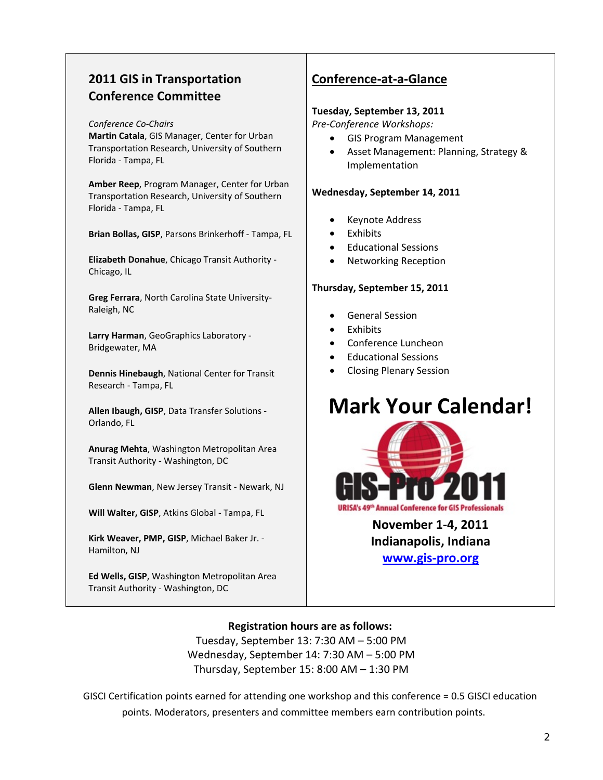# **2011 GIS in Transportation Conference Committee**

#### *Conference Co‐Chairs*

**Martin Catala**, GIS Manager, Center for Urban Transportation Research, University of Southern Florida ‐ Tampa, FL

**Amber Reep**, Program Manager, Center for Urban Transportation Research, University of Southern Florida ‐ Tampa, FL

**Brian Bollas, GISP**, Parsons Brinkerhoff ‐ Tampa, FL

**Elizabeth Donahue**, Chicago Transit Authority ‐ Chicago, IL

**Greg Ferrara**, North Carolina State University‐ Raleigh, NC

**Larry Harman**, GeoGraphics Laboratory ‐ Bridgewater, MA

**Dennis Hinebaugh**, National Center for Transit Research ‐ Tampa, FL

**Allen Ibaugh, GISP**, Data Transfer Solutions ‐ Orlando, FL

**Anurag Mehta**, Washington Metropolitan Area Transit Authority ‐ Washington, DC

**Glenn Newman**, New Jersey Transit ‐ Newark, NJ

**Will Walter, GISP**, Atkins Global ‐ Tampa, FL

**Kirk Weaver, PMP, GISP**, Michael Baker Jr. ‐ Hamilton, NJ

**Ed Wells, GISP**, Washington Metropolitan Area Transit Authority ‐ Washington, DC

# **Conference‐at‐a‐Glance**

#### **Tuesday, September 13, 2011**

*Pre‐Conference Workshops:*

- GIS Program Management
- Asset Management: Planning, Strategy & Implementation

#### **Wednesday, September 14, 2011**

- Keynote Address
- **Exhibits**
- Educational Sessions
- Networking Reception

#### **Thursday, September 15, 2011**

- General Session
- **Exhibits**
- Conference Luncheon
- Educational Sessions
- Closing Plenary Session

# **Mark Your Calendar!**



**November 1‐4, 2011 Indianapolis, Indiana [www.gis](http://www.gis-pro.org/)‐pro.org**

**Registration hours are as follows:** Tuesday, September 13: 7:30 AM – 5:00 PM Wednesday, September 14: 7:30 AM – 5:00 PM Thursday, September 15: 8:00 AM – 1:30 PM

GISCI Certification points earned for attending one workshop and this conference = 0.5 GISCI education points. Moderators, presenters and committee members earn contribution points.**ps**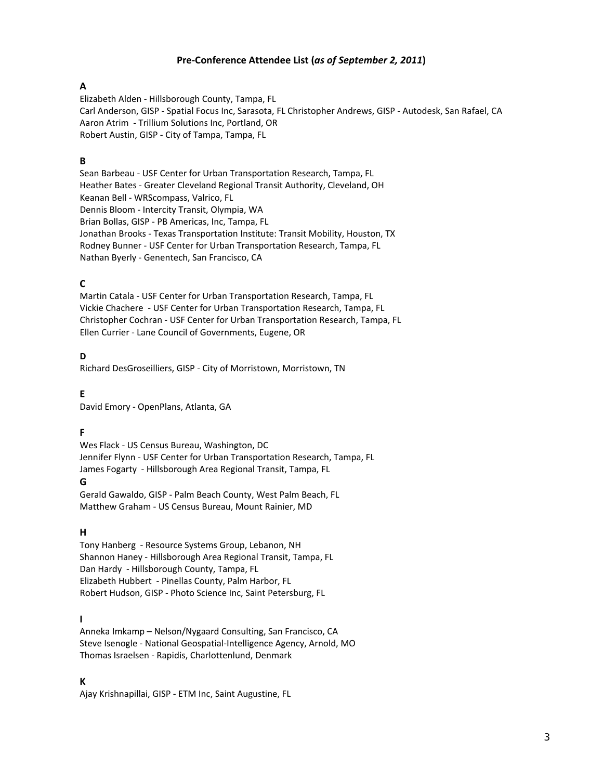#### **Pre‐Conference Attendee List (***as of September 2, 2011***)**

#### **A**

Elizabeth Alden ‐ Hillsborough County, Tampa, FL Carl Anderson, GISP ‐ Spatial Focus Inc, Sarasota, FL Christopher Andrews, GISP ‐ Autodesk, San Rafael, CA Aaron Atrim ‐ Trillium Solutions Inc, Portland, OR Robert Austin, GISP ‐ City of Tampa, Tampa, FL

#### **B**

Sean Barbeau ‐ USF Center for Urban Transportation Research, Tampa, FL Heather Bates ‐ Greater Cleveland Regional Transit Authority, Cleveland, OH Keanan Bell ‐ WRScompass, Valrico, FL Dennis Bloom ‐ Intercity Transit, Olympia, WA Brian Bollas, GISP ‐ PB Americas, Inc, Tampa, FL Jonathan Brooks ‐ Texas Transportation Institute: Transit Mobility, Houston, TX Rodney Bunner ‐ USF Center for Urban Transportation Research, Tampa, FL Nathan Byerly ‐ Genentech, San Francisco, CA

#### **C**

Martin Catala ‐ USF Center for Urban Transportation Research, Tampa, FL Vickie Chachere ‐ USF Center for Urban Transportation Research, Tampa, FL Christopher Cochran ‐ USF Center for Urban Transportation Research, Tampa, FL Ellen Currier ‐ Lane Council of Governments, Eugene, OR

#### **D**

Richard DesGroseilliers, GISP ‐ City of Morristown, Morristown, TN

**E** David Emory ‐ OpenPlans, Atlanta, GA

#### **F**

Wes Flack ‐ US Census Bureau, Washington, DC Jennifer Flynn ‐ USF Center for Urban Transportation Research, Tampa, FL James Fogarty ‐ Hillsborough Area Regional Transit, Tampa, FL **G**

Gerald Gawaldo, GISP ‐ Palm Beach County, West Palm Beach, FL Matthew Graham ‐ US Census Bureau, Mount Rainier, MD

#### **H**

Tony Hanberg ‐ Resource Systems Group, Lebanon, NH Shannon Haney ‐ Hillsborough Area Regional Transit, Tampa, FL Dan Hardy - Hillsborough County, Tampa, FL Elizabeth Hubbert ‐ Pinellas County, Palm Harbor, FL Robert Hudson, GISP ‐ Photo Science Inc, Saint Petersburg, FL

#### **I**

Anneka Imkamp – Nelson/Nygaard Consulting, San Francisco, CA Steve Isenogle - National Geospatial-Intelligence Agency, Arnold, MO Thomas Israelsen ‐ Rapidis, Charlottenlund, Denmark

#### **K**

Ajay Krishnapillai, GISP ‐ ETM Inc, Saint Augustine, FL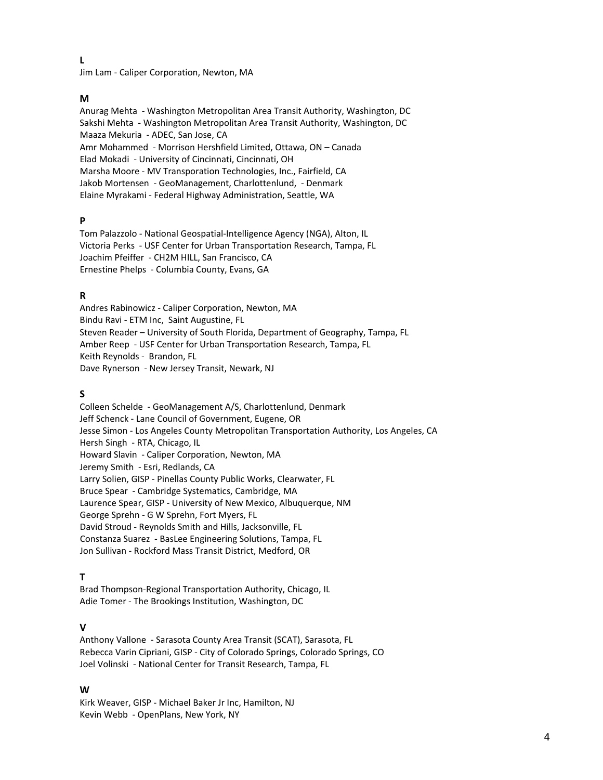**L**

Jim Lam ‐ Caliper Corporation, Newton, MA

#### **M**

Anurag Mehta ‐ Washington Metropolitan Area Transit Authority, Washington, DC Sakshi Mehta ‐ Washington Metropolitan Area Transit Authority, Washington, DC Maaza Mekuria ‐ ADEC, San Jose, CA Amr Mohammed ‐ Morrison Hershfield Limited, Ottawa, ON – Canada Elad Mokadi ‐ University of Cincinnati, Cincinnati, OH Marsha Moore ‐ MV Transporation Technologies, Inc., Fairfield, CA Jakob Mortensen ‐ GeoManagement, Charlottenlund, ‐ Denmark Elaine Myrakami ‐ Federal Highway Administration, Seattle, WA

#### **P**

Tom Palazzolo - National Geospatial-Intelligence Agency (NGA), Alton, IL Victoria Perks ‐ USF Center for Urban Transportation Research, Tampa, FL Joachim Pfeiffer ‐ CH2M HILL, San Francisco, CA Ernestine Phelps ‐ Columbia County, Evans, GA

#### **R**

Andres Rabinowicz ‐ Caliper Corporation, Newton, MA Bindu Ravi ‐ ETM Inc, Saint Augustine, FL Steven Reader – University of South Florida, Department of Geography, Tampa, FL Amber Reep - USF Center for Urban Transportation Research, Tampa, FL Keith Reynolds ‐ Brandon, FL Dave Rynerson - New Jersey Transit, Newark, NJ

#### **S**

Colleen Schelde ‐ GeoManagement A/S, Charlottenlund, Denmark Jeff Schenck ‐ Lane Council of Government, Eugene, OR Jesse Simon ‐ Los Angeles County Metropolitan Transportation Authority, Los Angeles, CA Hersh Singh - RTA, Chicago, IL Howard Slavin - Caliper Corporation, Newton, MA Jeremy Smith ‐ Esri, Redlands, CA Larry Solien, GISP ‐ Pinellas County Public Works, Clearwater, FL Bruce Spear ‐ Cambridge Systematics, Cambridge, MA Laurence Spear, GISP ‐ University of New Mexico, Albuquerque, NM George Sprehn ‐ G W Sprehn, Fort Myers, FL David Stroud ‐ Reynolds Smith and Hills, Jacksonville, FL Constanza Suarez ‐ BasLee Engineering Solutions, Tampa, FL Jon Sullivan ‐ Rockford Mass Transit District, Medford, OR

#### **T**

Brad Thompson‐Regional Transportation Authority, Chicago, IL Adie Tomer ‐ The Brookings Institution, Washington, DC

#### **V**

Anthony Vallone ‐ Sarasota County Area Transit (SCAT), Sarasota, FL Rebecca Varin Cipriani, GISP ‐ City of Colorado Springs, Colorado Springs, CO Joel Volinski ‐ National Center for Transit Research, Tampa, FL

#### **W**

Kirk Weaver, GISP ‐ Michael Baker Jr Inc, Hamilton, NJ Kevin Webb ‐ OpenPlans, New York, NY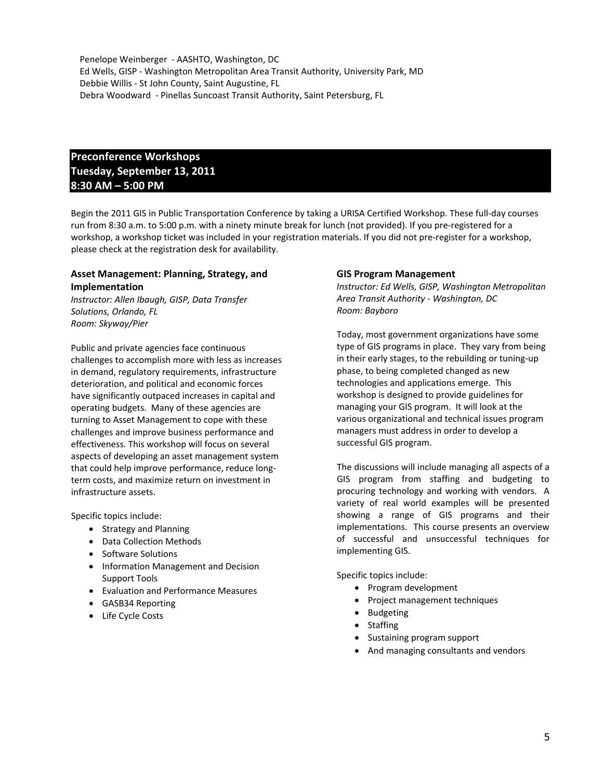Penelope Weinberger ‐ AASHTO, Washington, DC Ed Wells, GISP ‐ Washington Metropolitan Area Transit Authority, University Park, MD Debbie Willis ‐ St John County, Saint Augustine, FL Debra Woodward ‐ Pinellas Suncoast Transit Authority, Saint Petersburg, FL

### **Preconference Workshops Tuesday, September 13, 2011 8:30 AM – 5:00 PM**

Begin the 2011 GIS in Public Transportation Conference by taking a URISA Certified Workshop. These full‐day courses run from 8:30 a.m. to 5:00 p.m. with a ninety minute break for lunch (not provided). If you pre‐registered for a workshop, a workshop ticket was included in your registration materials. If you did not pre-register for a workshop, please check at the registration desk for availability.

#### **Asset Management: Planning, Strategy, and Implementation**

*Instructor: Allen Ibaugh, GISP, Data Transfer Solutions, Orlando, FL Room: Skyway/Pier*

Public and private agencies face continuous challenges to accomplish more with less as increases in demand, regulatory requirements, infrastructure deterioration, and political and economic forces have significantly outpaced increases in capital and operating budgets. Many of these agencies are turning to Asset Management to cope with these challenges and improve business performance and effectiveness. This workshop will focus on several aspects of developing an asset management system that could help improve performance, reduce long‐ term costs, and maximize return on investment in infrastructure assets.

Specific topics include:

- Strategy and Planning
- Data Collection Methods
- Software Solutions
- Information Management and Decision Support Tools
- Evaluation and Performance Measures
- GASB34 Reporting
- Life Cycle Costs

#### **GIS Program Management**

*Instructor: Ed Wells, GISP, Washington Metropolitan Area Transit Authority ‐ Washington, DC Room: Bayboro*

Today, most government organizations have some type of GIS programs in place. They vary from being in their early stages, to the rebuilding or tuning‐up phase, to being completed changed as new technologies and applications emerge. This workshop is designed to provide guidelines for managing your GIS program. It will look at the various organizational and technical issues program managers must address in order to develop a successful GIS program.

The discussions will include managing all aspects of a GIS program from staffing and budgeting to procuring technology and working with vendors. A variety of real world examples will be presented showing a range of GIS programs and their implementations. This course presents an overview of successful and unsuccessful techniques for implementing GIS.

Specific topics include:

- Program development
- Project management techniques
- Budgeting
- Staffing
- Sustaining program support
- And managing consultants and vendors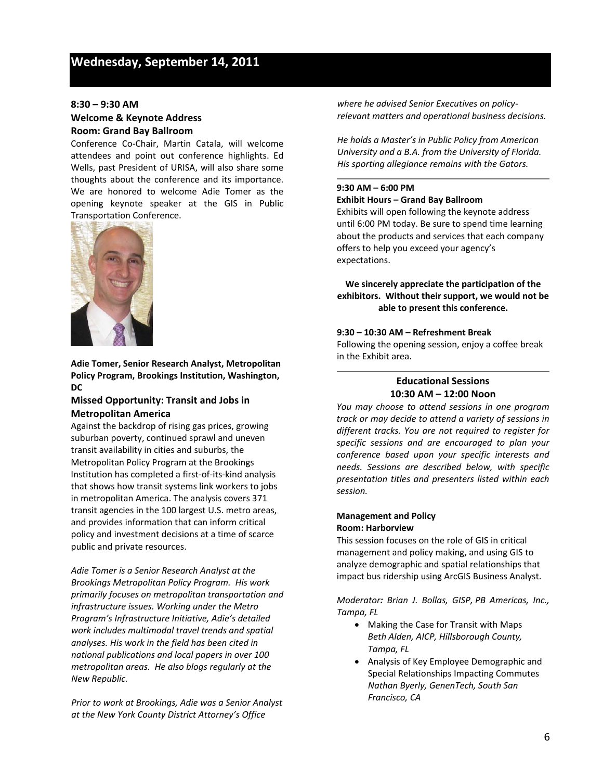#### **8:30 – 9:30 AM Welcome & Keynote Address Room: Grand Bay Ballroom**

Conference Co‐Chair, Martin Catala, will welcome attendees and point out conference highlights. Ed Wells, past President of URISA, will also share some thoughts about the conference and its importance. We are honored to welcome Adie Tomer as the opening keynote speaker at the GIS in Public Transportation Conference.



**Adie Tomer, Senior Research Analyst, Metropolitan Policy Program, Brookings Institution, Washington, DC**

#### **Missed Opportunity: Transit and Jobs in Metropolitan America**

Against the backdrop of rising gas prices, growing suburban poverty, continued sprawl and uneven transit availability in cities and suburbs, the Metropolitan Policy Program at the Brookings Institution has completed a first‐of‐its‐kind analysis that shows how transit systems link workers to jobs in metropolitan America. The analysis covers 371 transit agencies in the 100 largest U.S. metro areas, and provides information that can inform critical policy and investment decisions at a time of scarce public and private resources.

*Adie Tomer is a Senior Research Analyst at the Brookings Metropolitan Policy Program. His work primarily focuses on metropolitan transportation and infrastructure issues. Working under the Metro Program's Infrastructure Initiative, Adie's detailed work includes multimodal travel trends and spatial analyses. His work in the field has been cited in national publications and local papers in over 100 metropolitan areas. He also blogs regularly at the New Republic.* 

*Prior to work at Brookings, Adie was a Senior Analyst at the New York County District Attorney's Office*

*where he advised Senior Executives on policy‐ relevant matters and operational business decisions.*

*He holds a Master's in Public Policy from American University and a B.A. from the University of Florida. His sporting allegiance remains with the Gators.*

#### **9:30 AM – 6:00 PM Exhibit Hours – Grand Bay Ballroom**

Exhibits will open following the keynote address until 6:00 PM today. Be sure to spend time learning about the products and services that each company offers to help you exceed your agency's expectations.

**We sincerely appreciate the participation of the exhibitors. Without their support, we would not be able to present this conference.**

#### **9:30 – 10:30 AM – Refreshment Break**

Following the opening session, enjoy a coffee break in the Exhibit area.

#### **Educational Sessions 10:30 AM – 12:00 Noon**

*You may choose to attend sessions in one program track or may decide to attend a variety of sessions in different tracks. You are not required to register for specific sessions and are encouraged to plan your conference based upon your specific interests and needs. Sessions are described below, with specific presentation titles and presenters listed within each session.*

#### **Management and Policy Room: Harborview**

This session focuses on the role of GIS in critical management and policy making, and using GIS to analyze demographic and spatial relationships that impact bus ridership using ArcGIS Business Analyst.

*Moderator: Brian J. Bollas, GISP, PB Americas, Inc., Tampa, FL*

- Making the Case for Transit with Maps *Beth Alden, AICP, Hillsborough County, Tampa, FL*
- Analysis of Key Employee Demographic and Special Relationships Impacting Commutes *Nathan Byerly, GenenTech, South San Francisco, CA*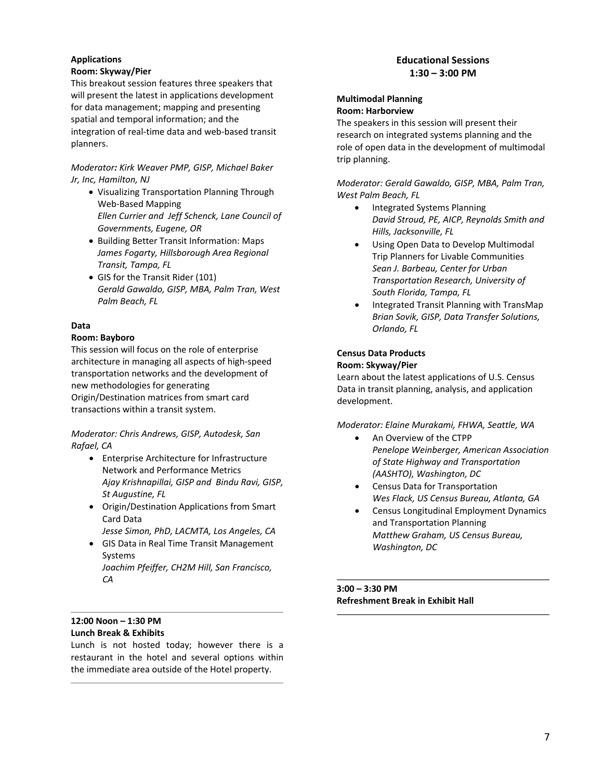### **Applications**

#### **Room: Skyway/Pier**

This breakout session features three speakers that will present the latest in applications development for data management; mapping and presenting spatial and temporal information; and the integration of real-time data and web-based transit planners.

*Moderator: Kirk Weaver PMP, GISP, Michael Baker Jr, Inc, Hamilton, NJ*

- Visualizing Transportation Planning Through Web‐Based Mapping *Ellen Currier and Jeff Schenck, Lane Council of Governments, Eugene, OR*
- Building Better Transit Information: Maps *James Fogarty, Hillsborough Area Regional Transit, Tampa, FL*
- GIS for the Transit Rider (101) *Gerald Gawaldo, GISP, MBA, Palm Tran, West Palm Beach, FL*

#### **Data**

#### **Room: Bayboro**

This session will focus on the role of enterprise architecture in managing all aspects of high‐speed transportation networks and the development of new methodologies for generating Origin/Destination matrices from smart card transactions within a transit system.

*Moderator: Chris Andrews, GISP, Autodesk, San Rafael, CA*

- Enterprise Architecture for Infrastructure Network and Performance Metrics *Ajay Krishnapillai, GISP and Bindu Ravi, GISP, St Augustine, FL*
- Origin/Destination Applications from Smart Card Data

*Jesse Simon, PhD, LACMTA, Los Angeles, CA*

- GIS Data in Real Time Transit Management Systems *Joachim Pfeiffer, CH2M Hill, San Francisco,*
	- *CA*

#### **Educational Sessions 1:30 – 3:00 PM**

#### **Multimodal Planning Room: Harborview**

The speakers in this session will present their research on integrated systems planning and the role of open data in the development of multimodal trip planning.

*Moderator: Gerald Gawaldo, GISP, MBA, Palm Tran, West Palm Beach, FL*

- Integrated Systems Planning *David Stroud, PE, AICP, Reynolds Smith and Hills, Jacksonville, FL*
- Using Open Data to Develop Multimodal Trip Planners for Livable Communities *Sean J. Barbeau, Center for Urban Transportation Research, University of South Florida, Tampa, FL*
- Integrated Transit Planning with TransMap *Brian Sovik, GISP, Data Transfer Solutions, Orlando, FL*

#### **Census Data Products Room: Skyway/Pier**

Learn about the latest applications of U.S. Census Data in transit planning, analysis, and application development.

*Moderator: Elaine Murakami, FHWA, Seattle, WA*

- An Overview of the CTPP *Penelope Weinberger, American Association of State Highway and Transportation (AASHTO), Washington, DC*
- Census Data for Transportation *Wes Flack, US Census Bureau, Atlanta, GA*
- Census Longitudinal Employment Dynamics and Transportation Planning *Matthew Graham, US Census Bureau, Washington, DC*

**3:00 – 3:30 PM Refreshment Break in Exhibit Hall**

#### **12:00 Noon – 1:30 PM Lunch Break & Exhibits**

Lunch is not hosted today; however there is a restaurant in the hotel and several options within the immediate area outside of the Hotel property.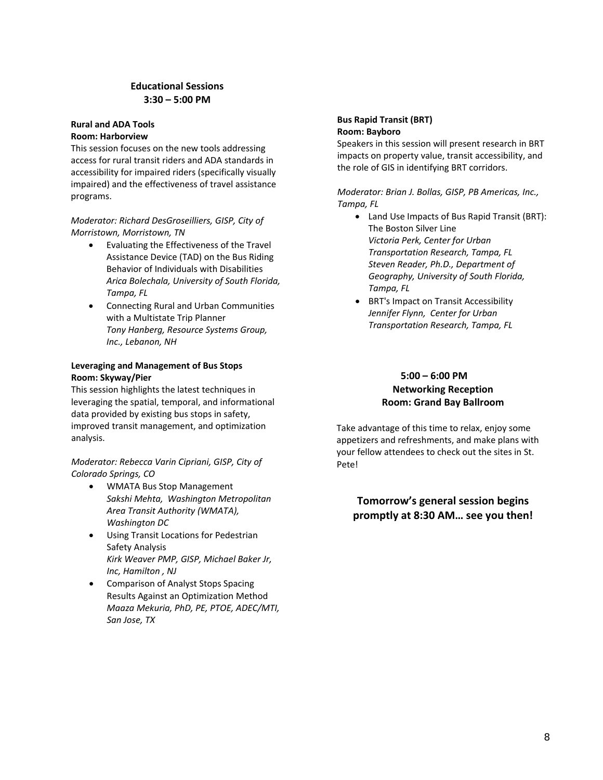#### **Educational Sessions 3:30 – 5:00 PM**

#### **Rural and ADA Tools Room: Harborview**

This session focuses on the new tools addressing access for rural transit riders and ADA standards in accessibility for impaired riders (specifically visually impaired) and the effectiveness of travel assistance programs.

#### *Moderator: Richard DesGroseilliers, GISP, City of Morristown, Morristown, TN*

- Evaluating the Effectiveness of the Travel Assistance Device (TAD) on the Bus Riding Behavior of Individuals with Disabilities *Arica Bolechala, University of South Florida, Tampa, FL*
- Connecting Rural and Urban Communities with a Multistate Trip Planner *Tony Hanberg, Resource Systems Group, Inc., Lebanon, NH*

#### **Leveraging and Management of Bus Stops Room: Skyway/Pier**

This session highlights the latest techniques in leveraging the spatial, temporal, and informational data provided by existing bus stops in safety, improved transit management, and optimization analysis.

#### *Moderator: Rebecca Varin Cipriani, GISP, City of Colorado Springs, CO*

- WMATA Bus Stop Management *Sakshi Mehta, Washington Metropolitan Area Transit Authority (WMATA), Washington DC*
- Using Transit Locations for Pedestrian Safety Analysis *Kirk Weaver PMP, GISP, Michael Baker Jr, Inc, Hamilton , NJ*
- Comparison of Analyst Stops Spacing Results Against an Optimization Method *Maaza Mekuria, PhD, PE, PTOE, ADEC/MTI, San Jose, TX*

#### **Bus Rapid Transit (BRT) Room: Bayboro**

Speakers in this session will present research in BRT impacts on property value, transit accessibility, and the role of GIS in identifying BRT corridors.

*Moderator: Brian J. Bollas, GISP, PB Americas, Inc., Tampa, FL*

- Land Use Impacts of Bus Rapid Transit (BRT): The Boston Silver Line *Victoria Perk, Center for Urban Transportation Research, Tampa, FL Steven Reader, Ph.D., Department of Geography, University of South Florida, Tampa, FL*
- BRT's Impact on Transit Accessibility *Jennifer Flynn, Center for Urban Transportation Research, Tampa, FL*

#### **5:00 – 6:00 PM Networking Reception Room: Grand Bay Ballroom**

Take advantage of this time to relax, enjoy some appetizers and refreshments, and make plans with your fellow attendees to check out the sites in St. Pete!

### **Tomorrow's general session begins promptly at 8:30 AM… see you then!**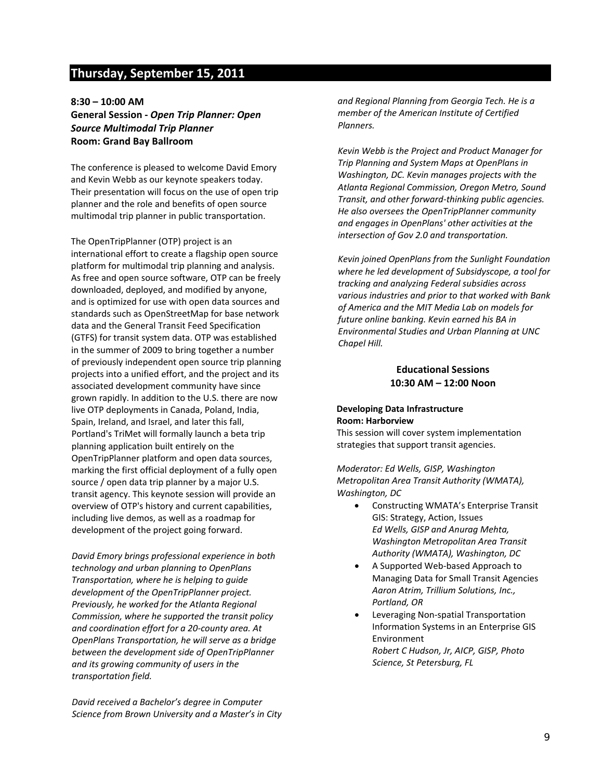# **Thursday, September 15, 2011**

**8:30 – 10:00 AM General Session ‐** *Open Trip Planner: Open Source Multimodal Trip Planner* **Room: Grand Bay Ballroom**

The conference is pleased to welcome David Emory and Kevin Webb as our keynote speakers today. Their presentation will focus on the use of open trip planner and the role and benefits of open source multimodal trip planner in public transportation.

The OpenTripPlanner (OTP) project is an international effort to create a flagship open source platform for multimodal trip planning and analysis. As free and open source software, OTP can be freely downloaded, deployed, and modified by anyone, and is optimized for use with open data sources and standards such as OpenStreetMap for base network data and the General Transit Feed Specification (GTFS) for transit system data. OTP was established in the summer of 2009 to bring together a number of previously independent open source trip planning projects into a unified effort, and the project and its associated development community have since grown rapidly. In addition to the U.S. there are now live OTP deployments in Canada, Poland, India, Spain, Ireland, and Israel, and later this fall, Portland's TriMet will formally launch a beta trip planning application built entirely on the OpenTripPlanner platform and open data sources, marking the first official deployment of a fully open source / open data trip planner by a major U.S. transit agency. This keynote session will provide an overview of OTP's history and current capabilities, including live demos, as well as a roadmap for development of the project going forward.

*David Emory brings professional experience in both technology and urban planning to OpenPlans Transportation, where he is helping to guide development of the OpenTripPlanner project. Previously, he worked for the Atlanta Regional Commission, where he supported the transit policy and coordination effort for a 20‐county area. At OpenPlans Transportation, he will serve as a bridge between the development side of OpenTripPlanner and its growing community of users in the transportation field.*

*David received a Bachelor's degree in Computer Science from Brown University and a Master's in City* *and Regional Planning from Georgia Tech. He is a member of the American Institute of Certified Planners.*

*Kevin Webb is the Project and Product Manager for Trip Planning and System Maps at OpenPlans in Washington, DC. Kevin manages projects with the Atlanta Regional Commission, Oregon Metro, Sound Transit, and other forward‐thinking public agencies. He also oversees the OpenTripPlanner community and engages in OpenPlans' other activities at the intersection of Gov 2.0 and transportation.*

*Kevin joined OpenPlans from the Sunlight Foundation where he led development of Subsidyscope, a tool for tracking and analyzing Federal subsidies across various industries and prior to that worked with Bank of America and the MIT Media Lab on models for future online banking. Kevin earned his BA in Environmental Studies and Urban Planning at UNC Chapel Hill.*

#### **Educational Sessions 10:30 AM – 12:00 Noon**

#### **Developing Data Infrastructure Room: Harborview**

This session will cover system implementation strategies that support transit agencies.

*Moderator: Ed Wells, GISP, Washington Metropolitan Area Transit Authority (WMATA), Washington, DC*

- Constructing WMATA's Enterprise Transit GIS: Strategy, Action, Issues *Ed Wells, GISP and Anurag Mehta, Washington Metropolitan Area Transit Authority (WMATA), Washington, DC*
- A Supported Web‐based Approach to Managing Data for Small Transit Agencies *Aaron Atrim, Trillium Solutions, Inc., Portland, OR*
- Leveraging Non‐spatial Transportation Information Systems in an Enterprise GIS Environment *Robert C Hudson, Jr, AICP, GISP, Photo Science, St Petersburg, FL*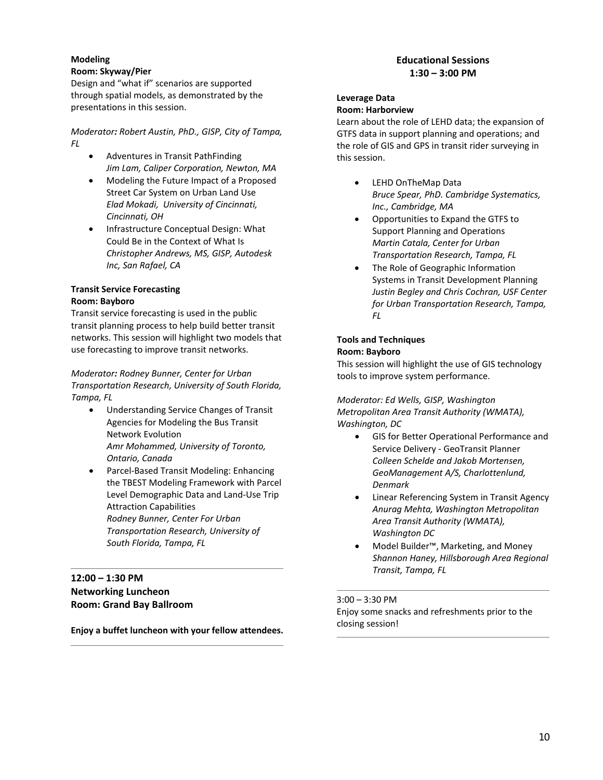#### **Modeling**

#### **Room: Skyway/Pier**

Design and "what if" scenarios are supported through spatial models, as demonstrated by the presentations in this session.

*Moderator: Robert Austin, PhD., GISP, City of Tampa, FL*

- Adventures in Transit PathFinding *Jim Lam, Caliper Corporation, Newton, MA*
- Modeling the Future Impact of a Proposed Street Car System on Urban Land Use *Elad Mokadi, University of Cincinnati, Cincinnati, OH*
- Infrastructure Conceptual Design: What Could Be in the Context of What Is *Christopher Andrews, MS, GISP, Autodesk Inc, San Rafael, CA*

#### **Transit Service Forecasting Room: Bayboro**

Transit service forecasting is used in the public transit planning process to help build better transit networks. This session will highlight two models that use forecasting to improve transit networks.

#### *Moderator: Rodney Bunner, Center for Urban Transportation Research, University of South Florida, Tampa, FL*

- Understanding Service Changes of Transit Agencies for Modeling the Bus Transit Network Evolution *Amr Mohammed, University of Toronto, Ontario, Canada*
- Parcel‐Based Transit Modeling: Enhancing the TBEST Modeling Framework with Parcel Level Demographic Data and Land‐Use Trip Attraction Capabilities *Rodney Bunner, Center For Urban Transportation Research, University of South Florida, Tampa, FL*

#### **12:00 – 1:30 PM Networking Luncheon Room: Grand Bay Ballroom**

**Enjoy a buffet luncheon with your fellow attendees.**

#### **Educational Sessions 1:30 – 3:00 PM**

# **Leverage Data**

#### **Room: Harborview**

Learn about the role of LEHD data; the expansion of GTFS data in support planning and operations; and the role of GIS and GPS in transit rider surveying in this session.

- LEHD OnTheMap Data *Bruce Spear, PhD. Cambridge Systematics, Inc., Cambridge, MA*
- Opportunities to Expand the GTFS to Support Planning and Operations *Martin Catala, Center for Urban Transportation Research, Tampa, FL*
- The Role of Geographic Information Systems in Transit Development Planning *Justin Begley and Chris Cochran, USF Center for Urban Transportation Research, Tampa, FL*

#### **Tools and Techniques Room: Bayboro**

This session will highlight the use of GIS technology tools to improve system performance.

*Moderator: Ed Wells, GISP, Washington Metropolitan Area Transit Authority (WMATA), Washington, DC*

- GIS for Better Operational Performance and Service Delivery ‐ GeoTransit Planner *Colleen Schelde and Jakob Mortensen, GeoManagement A/S, Charlottenlund, Denmark*
- Linear Referencing System in Transit Agency *Anurag Mehta, Washington Metropolitan Area Transit Authority (WMATA), Washington DC*
- Model Builder™, Marketing, and Money *Shannon Haney, Hillsborough Area Regional Transit, Tampa, FL*

#### 3:00 – 3:30 PM

Enjoy some snacks and refreshments prior to the closing session!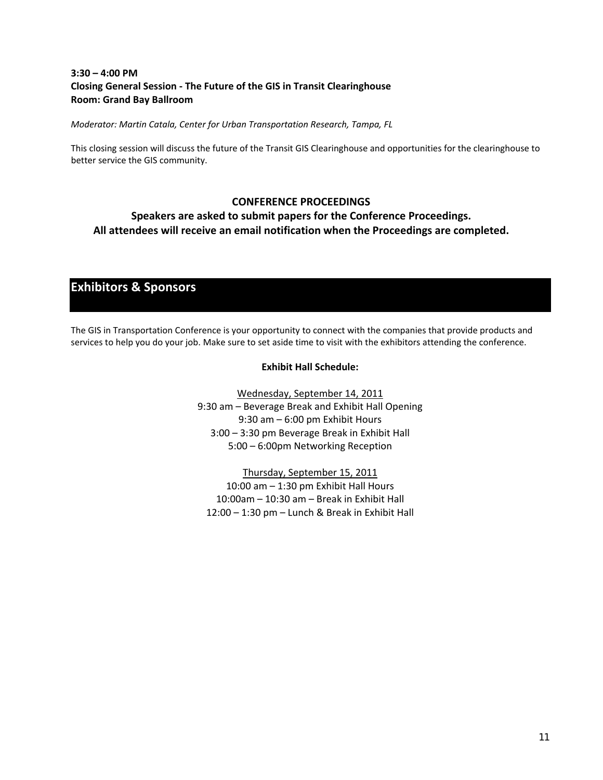#### **3:30 – 4:00 PM Closing General Session ‐ The Future of the GIS in Transit Clearinghouse Room: Grand Bay Ballroom**

*Moderator: Martin Catala, Center for Urban Transportation Research, Tampa, FL* 

This closing session will discuss the future of the Transit GIS Clearinghouse and opportunities for the clearinghouse to better service the GIS community.

#### **CONFERENCE PROCEEDINGS**

**Speakers are asked to submit papers for the Conference Proceedings. All attendees will receive an email notification when the Proceedings are completed.** 

# **Exhibitors & Sponsors**

The GIS in Transportation Conference is your opportunity to connect with the companies that provide products and services to help you do your job. Make sure to set aside time to visit with the exhibitors attending the conference.

#### **Exhibit Hall Schedule:**

Wednesday, September 14, 2011 9:30 am – Beverage Break and Exhibit Hall Opening 9:30 am – 6:00 pm Exhibit Hours 3:00 – 3:30 pm Beverage Break in Exhibit Hall 5:00 – 6:00pm Networking Reception

Thursday, September 15, 2011 10:00 am – 1:30 pm Exhibit Hall Hours 10:00am – 10:30 am – Break in Exhibit Hall 12:00 – 1:30 pm – Lunch & Break in Exhibit Hall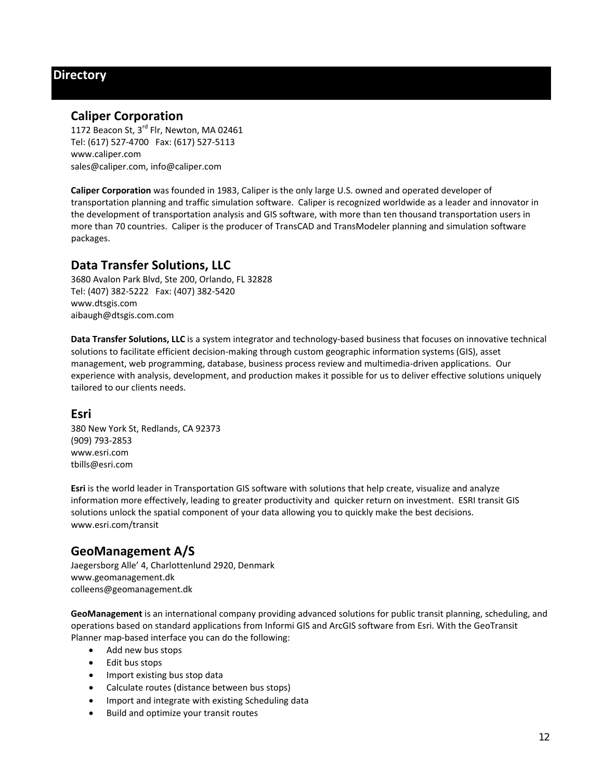# **Directory**

### **Caliper Corporation**

1172 Beacon St, 3<sup>rd</sup> Flr, Newton, MA 02461 Tel: (617) 527‐4700 Fax: (617) 527‐5113 www.caliper.com sales@caliper.com, info@caliper.com

**Caliper Corporation** was founded in 1983, Caliper is the only large U.S. owned and operated developer of transportation planning and traffic simulation software. Caliper is recognized worldwide as a leader and innovator in the development of transportation analysis and GIS software, with more than ten thousand transportation users in more than 70 countries. Caliper is the producer of TransCAD and TransModeler planning and simulation software packages.

## **Data Transfer Solutions, LLC**

3680 Avalon Park Blvd, Ste 200, Orlando, FL 32828 Tel: (407) 382‐5222 Fax: (407) 382‐5420 www.dtsgis.com aibaugh@dtsgis.com.com

**Data Transfer Solutions, LLC** is a system integrator and technology‐based business that focuses on innovative technical solutions to facilitate efficient decision-making through custom geographic information systems (GIS), asset management, web programming, database, business process review and multimedia‐driven applications. Our experience with analysis, development, and production makes it possible for us to deliver effective solutions uniquely tailored to our clients needs.

#### **Esri**

380 New York St, Redlands, CA 92373 (909) 793‐2853 www.esri.com tbills@esri.com

**Esri** is the world leader in Transportation GIS software with solutions that help create, visualize and analyze information more effectively, leading to greater productivity and quicker return on investment. ESRI transit GIS solutions unlock the spatial component of your data allowing you to quickly make the best decisions. www.esri.com/transit

# **GeoManagement A/S**

Jaegersborg Alle' 4, Charlottenlund 2920, Denmark www.geomanagement.dk colleens@geomanagement.dk

**GeoManagement** is an international company providing advanced solutions for public transit planning, scheduling, and operations based on standard applications from Informi GIS and ArcGIS software from Esri. With the GeoTransit Planner map‐based interface you can do the following:

- Add new bus stops
- Edit bus stops
- Import existing bus stop data
- Calculate routes (distance between bus stops)
- Import and integrate with existing Scheduling data
- Build and optimize your transit routes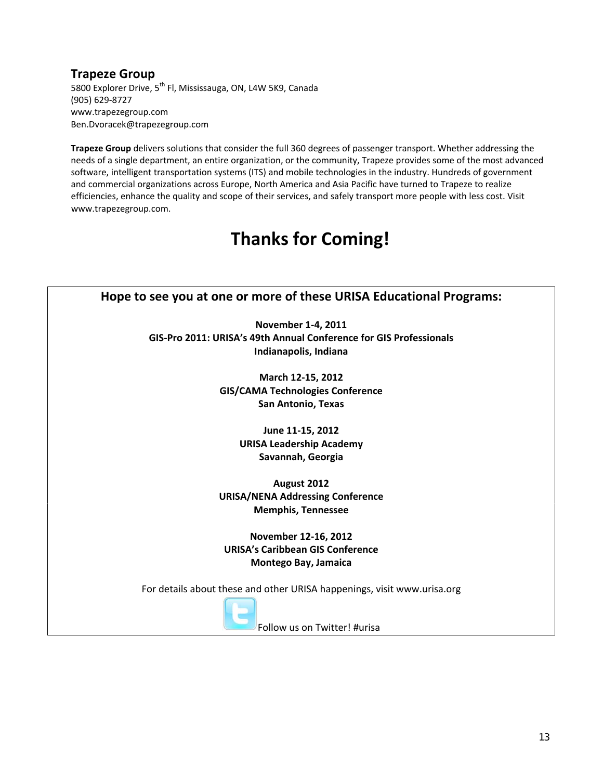# **Trapeze Group**

5800 Explorer Drive, 5<sup>th</sup> Fl, Mississauga, ON, L4W 5K9, Canada (905) 629‐8727 www.trapezegroup.com Ben.Dvoracek@trapezegroup.com

**Trapeze Group** delivers solutions that consider the full 360 degrees of passenger transport. Whether addressing the needs of a single department, an entire organization, or the community, Trapeze provides some of the most advanced software, intelligent transportation systems (ITS) and mobile technologies in the industry. Hundreds of government and commercial organizations across Europe, North America and Asia Pacific have turned to Trapeze to realize efficiencies, enhance the quality and scope of their services, and safely transport more people with less cost. Visit www.trapezegroup.com.

# **Thanks for Coming!**